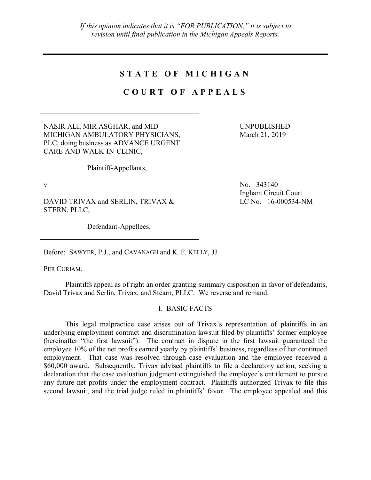# **S T A T E O F M I C H I G A N**

# **C O U R T O F A P P E A L S**

NASIR ALI, MIR ASGHAR, and MID MICHIGAN AMBULATORY PHYSICIANS, PLC, doing business as ADVANCE URGENT CARE AND WALK-IN-CLINIC,

UNPUBLISHED March 21, 2019

Plaintiff-Appellants,

DAVID TRIVAX and SERLIN, TRIVAX & STERN, PLLC,

Defendant-Appellees.

v No. 343140 Ingham Circuit Court LC No. 16-000534-NM

Before: SAWYER, P.J., and CAVANAGH and K. F. KELLY, JJ.

PER CURIAM.

Plaintiffs appeal as of right an order granting summary disposition in favor of defendants, David Trivax and Serlin, Trivax, and Stearn, PLLC. We reverse and remand.

### I. BASIC FACTS

This legal malpractice case arises out of Trivax's representation of plaintiffs in an underlying employment contract and discrimination lawsuit filed by plaintiffs' former employee (hereinafter "the first lawsuit"). The contract in dispute in the first lawsuit guaranteed the employee 10% of the net profits earned yearly by plaintiffs' business, regardless of her continued employment. That case was resolved through case evaluation and the employee received a \$60,000 award. Subsequently, Trivax advised plaintiffs to file a declaratory action, seeking a declaration that the case evaluation judgment extinguished the employee's entitlement to pursue any future net profits under the employment contract. Plaintiffs authorized Trivax to file this second lawsuit, and the trial judge ruled in plaintiffs' favor. The employee appealed and this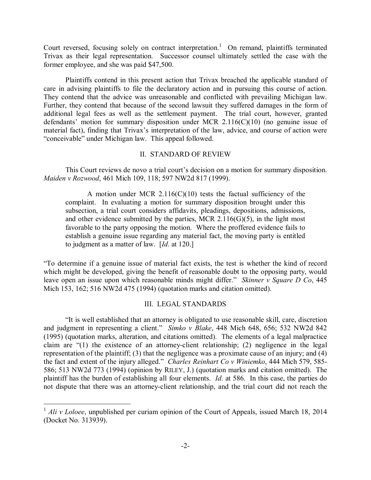Court reversed, focusing solely on contract interpretation.<sup>1</sup> On remand, plaintiffs terminated Trivax as their legal representation. Successor counsel ultimately settled the case with the former employee, and she was paid \$47,500.

Plaintiffs contend in this present action that Trivax breached the applicable standard of care in advising plaintiffs to file the declaratory action and in pursuing this course of action. They contend that the advice was unreasonable and conflicted with prevailing Michigan law. Further, they contend that because of the second lawsuit they suffered damages in the form of additional legal fees as well as the settlement payment. The trial court, however, granted defendants' motion for summary disposition under MCR 2.116(C)(10) (no genuine issue of material fact), finding that Trivax's interpretation of the law, advice, and course of action were "conceivable" under Michigan law. This appeal followed.

### II. STANDARD OF REVIEW

This Court reviews de novo a trial court's decision on a motion for summary disposition. *Maiden v Rozwood*, 461 Mich 109, 118; 597 NW2d 817 (1999).

A motion under MCR  $2.116(C)(10)$  tests the factual sufficiency of the complaint. In evaluating a motion for summary disposition brought under this subsection, a trial court considers affidavits, pleadings, depositions, admissions, and other evidence submitted by the parties, MCR  $2.116(G)(5)$ , in the light most favorable to the party opposing the motion. Where the proffered evidence fails to establish a genuine issue regarding any material fact, the moving party is entitled to judgment as a matter of law. [*Id*. at 120.]

"To determine if a genuine issue of material fact exists, the test is whether the kind of record which might be developed, giving the benefit of reasonable doubt to the opposing party, would leave open an issue upon which reasonable minds might differ." *Skinner v Square D Co*, 445 Mich 153, 162; 516 NW2d 475 (1994) (quotation marks and citation omitted).

## III. LEGAL STANDARDS

"It is well established that an attorney is obligated to use reasonable skill, care, discretion and judgment in representing a client." *Simko v Blake*, 448 Mich 648, 656; 532 NW2d 842 (1995) (quotation marks, alteration, and citations omitted). The elements of a legal malpractice claim are "(1) the existence of an attorney-client relationship; (2) negligence in the legal representation of the plaintiff; (3) that the negligence was a proximate cause of an injury; and (4) the fact and extent of the injury alleged." *Charles Reinhart Co v Winiemko*, 444 Mich 579, 585- 586; 513 NW2d 773 (1994) (opinion by RILEY, J.) (quotation marks and citation omitted). The plaintiff has the burden of establishing all four elements. *Id*. at 586. In this case, the parties do not dispute that there was an attorney-client relationship, and the trial court did not reach the

<sup>&</sup>lt;sup>1</sup> *Ali v Loloee*, unpublished per curiam opinion of the Court of Appeals, issued March 18, 2014 (Docket No. 313939).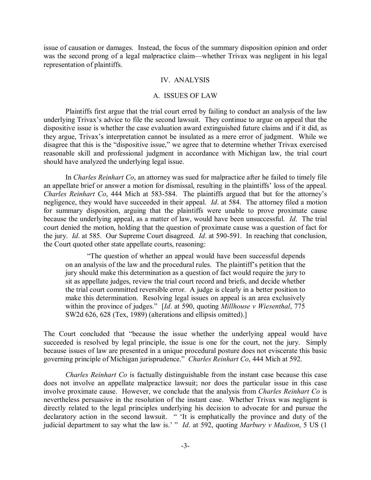issue of causation or damages. Instead, the focus of the summary disposition opinion and order was the second prong of a legal malpractice claim—whether Trivax was negligent in his legal representation of plaintiffs.

### IV. ANALYSIS

#### A. ISSUES OF LAW

Plaintiffs first argue that the trial court erred by failing to conduct an analysis of the law underlying Trivax's advice to file the second lawsuit. They continue to argue on appeal that the dispositive issue is whether the case evaluation award extinguished future claims and if it did, as they argue, Trivax's interpretation cannot be insulated as a mere error of judgment. While we disagree that this is the "dispositive issue," we agree that to determine whether Trivax exercised reasonable skill and professional judgment in accordance with Michigan law, the trial court should have analyzed the underlying legal issue.

In *Charles Reinhart Co*, an attorney was sued for malpractice after he failed to timely file an appellate brief or answer a motion for dismissal, resulting in the plaintiffs' loss of the appeal. *Charles Reinhart Co*, 444 Mich at 583-584. The plaintiffs argued that but for the attorney's negligence, they would have succeeded in their appeal. *Id*. at 584. The attorney filed a motion for summary disposition, arguing that the plaintiffs were unable to prove proximate cause because the underlying appeal, as a matter of law, would have been unsuccessful. *Id*. The trial court denied the motion, holding that the question of proximate cause was a question of fact for the jury. *Id*. at 585. Our Supreme Court disagreed. *Id*. at 590-591. In reaching that conclusion, the Court quoted other state appellate courts, reasoning:

"The question of whether an appeal would have been successful depends on an analysis of the law and the procedural rules. The plaintiff's petition that the jury should make this determination as a question of fact would require the jury to sit as appellate judges, review the trial court record and briefs, and decide whether the trial court committed reversible error. A judge is clearly in a better position to make this determination. Resolving legal issues on appeal is an area exclusively within the province of judges." [*Id*. at 590, quoting *Millhouse v Wiesenthal*, 775 SW2d 626, 628 (Tex, 1989) (alterations and ellipsis omitted).]

The Court concluded that "because the issue whether the underlying appeal would have succeeded is resolved by legal principle, the issue is one for the court, not the jury. Simply because issues of law are presented in a unique procedural posture does not eviscerate this basic governing principle of Michigan jurisprudence." *Charles Reinhart Co*, 444 Mich at 592.

*Charles Reinhart Co* is factually distinguishable from the instant case because this case does not involve an appellate malpractice lawsuit; nor does the particular issue in this case involve proximate cause. However, we conclude that the analysis from *Charles Reinhart Co* is nevertheless persuasive in the resolution of the instant case. Whether Trivax was negligent is directly related to the legal principles underlying his decision to advocate for and pursue the declaratory action in the second lawsuit. " 'It is emphatically the province and duty of the judicial department to say what the law is.' " *Id*. at 592, quoting *Marbury v Madison*, 5 US (1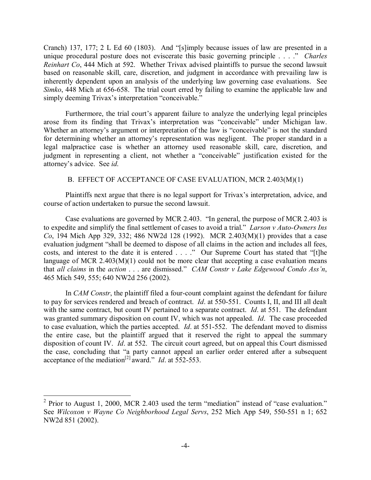Cranch) 137, 177; 2 L Ed 60 (1803). And "[s]imply because issues of law are presented in a unique procedural posture does not eviscerate this basic governing principle . . . ." *Charles Reinhart Co*, 444 Mich at 592. Whether Trivax advised plaintiffs to pursue the second lawsuit based on reasonable skill, care, discretion, and judgment in accordance with prevailing law is inherently dependent upon an analysis of the underlying law governing case evaluations. See *Simko*, 448 Mich at 656-658. The trial court erred by failing to examine the applicable law and simply deeming Trivax's interpretation "conceivable."

Furthermore, the trial court's apparent failure to analyze the underlying legal principles arose from its finding that Trivax's interpretation was "conceivable" under Michigan law. Whether an attorney's argument or interpretation of the law is "conceivable" is not the standard for determining whether an attorney's representation was negligent. The proper standard in a legal malpractice case is whether an attorney used reasonable skill, care, discretion, and judgment in representing a client, not whether a "conceivable" justification existed for the attorney's advice. See *id*.

### B. EFFECT OF ACCEPTANCE OF CASE EVALUATION, MCR 2.403(M)(1)

Plaintiffs next argue that there is no legal support for Trivax's interpretation, advice, and course of action undertaken to pursue the second lawsuit.

Case evaluations are governed by MCR 2.403. "In general, the purpose of MCR 2.403 is to expedite and simplify the final settlement of cases to avoid a trial." *Larson v Auto-Owners Ins Co*, 194 Mich App 329, 332; 486 NW2d 128 (1992). MCR 2.403(M)(1) provides that a case evaluation judgment "shall be deemed to dispose of all claims in the action and includes all fees, costs, and interest to the date it is entered . . . ." Our Supreme Court has stated that "[t]he language of MCR  $2.403(M)(1)$  could not be more clear that accepting a case evaluation means that *all claims* in the *action* . . . are dismissed." *CAM Constr v Lake Edgewood Condo Ass'n*, 465 Mich 549, 555; 640 NW2d 256 (2002).

In *CAM Constr*, the plaintiff filed a four-count complaint against the defendant for failure to pay for services rendered and breach of contract. *Id*. at 550-551. Counts I, II, and III all dealt with the same contract, but count IV pertained to a separate contract. *Id*. at 551. The defendant was granted summary disposition on count IV, which was not appealed. *Id*. The case proceeded to case evaluation, which the parties accepted. *Id*. at 551-552. The defendant moved to dismiss the entire case, but the plaintiff argued that it reserved the right to appeal the summary disposition of count IV. *Id*. at 552. The circuit court agreed, but on appeal this Court dismissed the case, concluding that "a party cannot appeal an earlier order entered after a subsequent acceptance of the mediation<sup>[2]</sup> award." *Id.* at  $552-553$ .

 $2$  Prior to August 1, 2000, MCR 2.403 used the term "mediation" instead of "case evaluation." See *Wilcoxon v Wayne Co Neighborhood Legal Servs*, 252 Mich App 549, 550-551 n 1; 652 NW2d 851 (2002).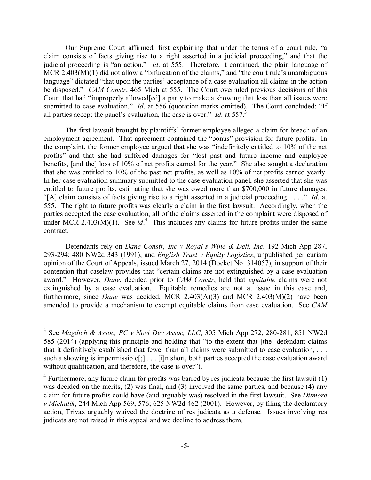Our Supreme Court affirmed, first explaining that under the terms of a court rule, "a claim consists of facts giving rise to a right asserted in a judicial proceeding," and that the judicial proceeding is "an action." *Id*. at 555. Therefore, it continued, the plain language of MCR 2.403(M)(1) did not allow a "bifurcation of the claims," and "the court rule's unambiguous language" dictated "that upon the parties' acceptance of a case evaluation all claims in the action be disposed." *CAM Constr*, 465 Mich at 555. The Court overruled previous decisions of this Court that had "improperly allowed[ed] a party to make a showing that less than all issues were submitted to case evaluation." *Id.* at 556 (quotation marks omitted). The Court concluded: "If all parties accept the panel's evaluation, the case is over." *Id*. at 557. 3

The first lawsuit brought by plaintiffs' former employee alleged a claim for breach of an employment agreement. That agreement contained the "bonus" provision for future profits. In the complaint, the former employee argued that she was "indefinitely entitled to 10% of the net profits" and that she had suffered damages for "lost past and future income and employee benefits, [and the] loss of 10% of net profits earned for the year." She also sought a declaration that she was entitled to 10% of the past net profits, as well as 10% of net profits earned yearly. In her case evaluation summary submitted to the case evaluation panel, she asserted that she was entitled to future profits, estimating that she was owed more than \$700,000 in future damages. "[A] claim consists of facts giving rise to a right asserted in a judicial proceeding . . . ." *Id*. at 555. The right to future profits was clearly a claim in the first lawsuit. Accordingly, when the parties accepted the case evaluation, all of the claims asserted in the complaint were disposed of under MCR 2.403 $(M)(1)$ . See *id*.<sup>4</sup> This includes any claims for future profits under the same contract.

Defendants rely on *Dane Constr, Inc v Royal's Wine & Deli, Inc*, 192 Mich App 287, 293-294; 480 NW2d 343 (1991), and *English Trust v Equity Logistics*, unpublished per curiam opinion of the Court of Appeals, issued March 27, 2014 (Docket No. 314057), in support of their contention that caselaw provides that "certain claims are not extinguished by a case evaluation award." However, *Dane*, decided prior to *CAM Constr*, held that *equitable* claims were not extinguished by a case evaluation. Equitable remedies are not at issue in this case and, furthermore, since *Dane* was decided, MCR 2.403(A)(3) and MCR 2.403(M)(2) have been amended to provide a mechanism to exempt equitable claims from case evaluation. See *CAM* 

 <sup>3</sup> See *Magdich & Assoc, PC v Novi Dev Assoc, LLC*, 305 Mich App 272, 280-281; 851 NW2d 585 (2014) (applying this principle and holding that "to the extent that [the] defendant claims that it definitively established that fewer than all claims were submitted to case evaluation, . . . such a showing is impermissible[;] . . . [i]n short, both parties accepted the case evaluation award without qualification, and therefore, the case is over").

 $4$  Furthermore, any future claim for profits was barred by res judicata because the first lawsuit (1) was decided on the merits, (2) was final, and (3) involved the same parties, and because (4) any claim for future profits could have (and arguably was) resolved in the first lawsuit. See *Ditmore v Michalik*, 244 Mich App 569, 576; 625 NW2d 462 (2001). However, by filing the declaratory action, Trivax arguably waived the doctrine of res judicata as a defense. Issues involving res judicata are not raised in this appeal and we decline to address them.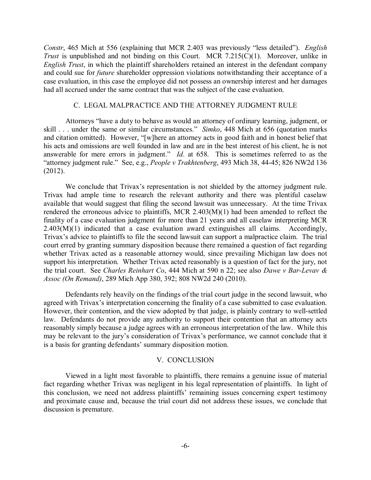*Constr*, 465 Mich at 556 (explaining that MCR 2.403 was previously "less detailed"). *English Trust* is unpublished and not binding on this Court. MCR 7.215(C)(1). Moreover, unlike in *English Trust*, in which the plaintiff shareholders retained an interest in the defendant company and could sue for *future* shareholder oppression violations notwithstanding their acceptance of a case evaluation, in this case the employee did not possess an ownership interest and her damages had all accrued under the same contract that was the subject of the case evaluation.

#### C. LEGAL MALPRACTICE AND THE ATTORNEY JUDGMENT RULE

Attorneys "have a duty to behave as would an attorney of ordinary learning, judgment, or skill . . . under the same or similar circumstances." *Simko*, 448 Mich at 656 (quotation marks and citation omitted). However, "[w]here an attorney acts in good faith and in honest belief that his acts and omissions are well founded in law and are in the best interest of his client, he is not answerable for mere errors in judgment." *Id*. at 658. This is sometimes referred to as the "attorney judgment rule." See, e.g., *People v Trakhtenberg*, 493 Mich 38, 44-45; 826 NW2d 136 (2012).

We conclude that Trivax's representation is not shielded by the attorney judgment rule. Trivax had ample time to research the relevant authority and there was plentiful caselaw available that would suggest that filing the second lawsuit was unnecessary. At the time Trivax rendered the erroneous advice to plaintiffs, MCR 2.403(M)(1) had been amended to reflect the finality of a case evaluation judgment for more than 21 years and all caselaw interpreting MCR 2.403(M)(1) indicated that a case evaluation award extinguishes all claims. Accordingly, Trivax's advice to plaintiffs to file the second lawsuit can support a malpractice claim. The trial court erred by granting summary disposition because there remained a question of fact regarding whether Trivax acted as a reasonable attorney would, since prevailing Michigan law does not support his interpretation. Whether Trivax acted reasonably is a question of fact for the jury, not the trial court. See *Charles Reinhart Co*, 444 Mich at 590 n 22; see also *Dawe v Bar-Levav & Assoc (On Remand)*, 289 Mich App 380, 392; 808 NW2d 240 (2010).

Defendants rely heavily on the findings of the trial court judge in the second lawsuit, who agreed with Trivax's interpretation concerning the finality of a case submitted to case evaluation. However, their contention, and the view adopted by that judge, is plainly contrary to well-settled law. Defendants do not provide any authority to support their contention that an attorney acts reasonably simply because a judge agrees with an erroneous interpretation of the law. While this may be relevant to the jury's consideration of Trivax's performance, we cannot conclude that it is a basis for granting defendants' summary disposition motion.

#### V. CONCLUSION

Viewed in a light most favorable to plaintiffs, there remains a genuine issue of material fact regarding whether Trivax was negligent in his legal representation of plaintiffs. In light of this conclusion, we need not address plaintiffs' remaining issues concerning expert testimony and proximate cause and, because the trial court did not address these issues, we conclude that discussion is premature.